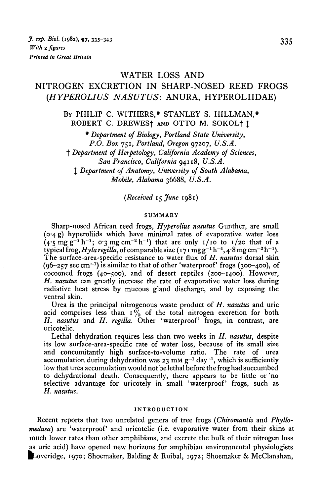# WATER LOSS AND

# NITROGEN EXCRETION IN SHARP-NOSED REED FROGS *(HYPEROLIUS NASUTUS:* ANURA, HYPEROLIIDAE)

BY PHILIP C. WITHERS,\* STANLEY S. HILLMAN,\* ROBERT C. DREWESf AND OTTO M. SOKOLf J

*\* Department of Biology, Portland State University, P.O. Box* 751, *Portland, Oregon* 97207, *U.S.A.* f *Department of Herpetology, California Academy of Sciences, San Francisco, California* 94118, *U.S.A. % Department of Anatomy, University of South Alabama, Mobile, Alabama* 36688, *U.S.A.*

*(Received* 15 *June* 1981)

#### **SUMMARY**

Sharp-nosed African reed frogs, *Hyperolius nasutus* Gunther, are small (0-4 g) hyperoliids which have minimal rates of evaporative water loss  $(4.5 \text{ mg g}^{-1} h^{-1}$ ; o.3 mg cm<sup>-2</sup> h<sup>-1</sup>) that are only 1/10 to 1/20 that of a typical frog, *Hyla regilla*, of comparable size (171 mg g<sup>-1</sup> h<sup>-1</sup>, 4<sup>,8</sup> mg cm<sup>-2</sup> h<sup>-1</sup>).<br>The surface-area-specific resistance to water flux of *H. nasutus* dorsal skin  $(96-257 \text{ sec cm}^{-1})$  is similar to that of other 'waterproof' frogs  $(300-400)$ , of cocooned frogs (40-500), and of desert reptiles (200-1400). However, *H. nasutus* can greatly increase the rate of evaporative water loss during radiative heat stress by mucous gland discharge, and by exposing the ventral skin.

Urea is the principal nitrogenous waste product of *H. nasutus* and uric acid comprises less than  $1\frac{9}{6}$  of the total nitrogen excretion for both H. nasutus and H. regilla. Other 'waterproof' frogs, in contrast, are uricotelic.

Lethal dehydration requires less than two weeks in *H. nasutus,* despite its low surface-area-specific rate of water loss, because of its small size and concomitantly high surface-to-volume ratio. The rate of urea  $\frac{1}{2}$  accumulation during dehydration was 23 mm  $g^{-1}$  day<sup>-1</sup>, which is sufficiently low that urea accumulation would not be lethal before the frog had succumbed to dehydrational death. Consequently, there appears to be little or no selective advantage for uricotely in small 'waterproof' frogs, such as *H. nasutus.*

#### **INTRODUCTION**

Recent reports that two unrelated genera of tree frogs *(Chiromantis* and *Phyllomedusa*) are 'waterproof' and uricotelic (i.e. evaporative water from their skins at much lower rates than other amphibians, and excrete the bulk of their nitrogen loss as uric acid) have opened new horizons for amphibian environmental physiologists Loveridge, 1970; Shoemaker, Balding & Ruibal, 1972; Shoemaker & McClanahan,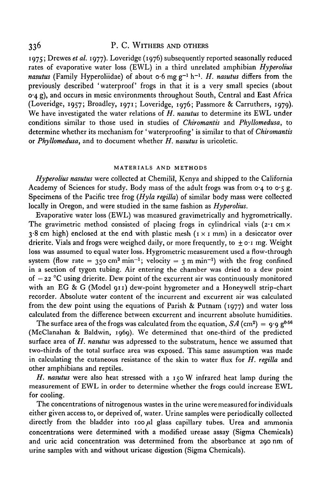# 336 P. C. WITHERS AND OTHERS

1975; Drewes *et al.* 1977). Loveridge (1976) subsequently reported seasonally reduced rates of evaporative water loss (EWL) in a third unrelated amphibian *Hyperolius nasutus* (Family Hyperoliidae) of about o-6 mg g-1 h-1. *H. nasutus* differs from the previously described 'waterproof' frogs in that it is a very small species (about 0-4 g), and occurs in mesic environments throughout South, Central and East Africa (Loveridge, 1957; Broadley, 1971; Loveridge, 1976; Passmore & Carruthers, 1979). We have investigated the water relations of *H. nasutus* to determine its EWL under conditions similar to those used in studies of *Chiromantis* and *Phyllomedusa,* to determine whether its mechanism for 'waterproofing' is similar to that of *Chiromantis* or *Phyllomedusa,* and to document whether *H. nasutus* is uricoletic.

#### **MATERIALS AND METHODS**

*Hyperolius nasutus* were collected at Chemilil, Kenya and shipped to the California Academy of Sciences for study. Body mass of the adult frogs was from  $\sigma_4$  to  $\sigma_5$  g. Specimens of the Pacific tree frog *(Hyla regilla)* of similar body mass were collected locally in Oregon, and were studied in the same fashion as *Hyperolius.*

Evaporative water loss (EWL) was measured gravimetrically and hygrometrically. The gravimetric method consisted of placing frogs in cylindrical vials  $(2 \cdot 1 \text{ cm} \times$  $3.8$  cm high) enclosed at the end with plastic mesh ( $1 \times 1$  mm) in a desiccator over drierite. Vials and frogs were weighed daily, or more frequently, to  $\pm$  o.1 mg. Weight loss was assumed to equal water loss. Hygrometric measurement used a flow-through system (flow rate = 350 cm<sup>3</sup> min<sup>-1</sup>; velocity = 3 m min<sup>-1</sup>) with the frog confined in a section of tygon tubing. Air entering the chamber was dried to a dew point of  $-22$  °C using drierite. Dew point of the excurrent air was continuously monitored with an EG & G (Model 911) dew-point hygrometer and a Honeywell strip-chart recorder. Absolute water content of the incurrent and excurrent air was calculated from the dew point using the equations of Parish & Putnam (1977) and water loss calculated from the difference between excurrent and incurrent absolute humidities.

The surface area of the frogs was calculated from the equation,  $SA$  (cm<sup>2</sup>) = 9.9 g<sup>0.56</sup> (McClanahan & Baldwin, 1969). We determined that one-third of the predicted surface area of *H. nasutus* was adpressed to the substratum, hence we assumed that two-thirds of the total surface area was exposed. This same assumption was made in calculating the cutaneous resistance of the skin to water flux for *H. regilla* and other amphibians and reptiles.

*H. nasutus* were also heat stressed with a 150 W infrared heat lamp during the measurement of EWL in order to determine whether the frogs could increase EWL for cooling.

The concentrations of nitrogenous wastes in the urine were measured for individuals either given access to, or deprived of, water. Urine samples were periodically collected directly from the bladder into 100 *fil* glass capillary tubes. Urea and ammonia concentrations were determined with a modified urease assay (Sigma Chemicals) and uric acid concentration was determined from the absorbance at 290 nm of urine samples with and without uricase digestion (Sigma Chemicals).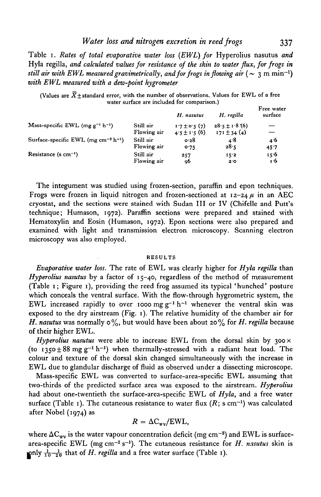*Water loss and nitrogen excretion in reed frogs* 337

Table 1. *Rates of total evaporative water loss (EWL) for* Hyperolius nasutus *and* Hyla regilla, *and calculated values for resistance of the skin to water flux, for frogs in still air with EWL measured gravimetrically, and for frogs in flowing air* ( $\sim 3$  m min<sup>-1</sup>) *with EWL measured with a dew-point hygrometer*

(Values are  $\bar{X}$ +standard error, with the number of observations. Values for EWL of a free water surface are included for comparison.)

|                                                             |                          | H. nasutus                          | H. regilla                           | Free water<br>surface |
|-------------------------------------------------------------|--------------------------|-------------------------------------|--------------------------------------|-----------------------|
| Mass-specific EWL (mg $g^{-1}$ h <sup>-1</sup> )            | Still air<br>Flowing air | $17 \pm 0.5(7)$<br>$4.5 \pm 1.5(6)$ | $28.5 \pm 1.8(6)$<br>$171 \pm 34(4)$ |                       |
| Surface-specific EWL (mg cm <sup>-2</sup> h <sup>-1</sup> ) | Still air                | 0.28                                | 4.8                                  | 4.6                   |
|                                                             | Flowing air              | 0.75                                | 28.5                                 | 45.7                  |
| Resistance (s $cm^{-1}$ )                                   | Still air                | 257                                 | 15.2                                 | 15.6                  |
|                                                             | Flowing air              | 96                                  | 2.0                                  | 1.6                   |

The integument was studied using frozen-section, paraffin and epon techniques. Frogs were frozen in liquid nitrogen and frozen-sectioned at  $12-24\mu$  in an AEC cryostat, and the sections were stained with Sudan III or IV (Chifelle and Putt's technique; Humason, 1972). Paraffin sections were prepared and stained with Hematoxylin and Eosin (Humason, 1972). Epon sections were also prepared and examined with light and transmission electron microscopy. Scanning electron microscopy was also employed.

#### RESULTS

*Evaporative water loss.* The rate of EWL was clearly higher for *Hyla regilla* than *Hyperolius nasutus* by a factor of 15-40, regardless of the method of measurement (Table 1; Figure 1), providing the reed frog assumed its typical 'hunched' posture which conceals the ventral surface. With the flow-through hygrometric system, the EWL increased rapidly to over 1000 mg  $g^{-1} h^{-1}$  whenever the ventral skin was exposed to the dry airstream (Fig. 1). The relative humidity of the chamber air for *H. nasutus* was normally  $\circ\%$ , but would have been about 20% for *H. regilla* because of their higher EWL.

*Hyperolius nasutus* were able to increase EWL from the dorsal skin by  $300 \times$ (to  $1350 \pm 88$  mg g<sup>-1</sup> h<sup>-1</sup>) when thermally-stressed with a radiant heat load. The colour and texture of the dorsal skin changed simultaneously with the increase in EWL due to glandular discharge of fluid as observed under a dissecting microscope.

Mass-specific EWL was converted to surface-area-specific EWL assuming that two-thirds of the predicted surface area was exposed to the airstream. *Hyperolius* had about one-twentieth the surface-area-specific EWL of *Hyla,* and a free water surface (Table 1). The cutaneous resistance to water flux (R; s cm<sup>-1</sup>) was calculated after Nobel (1974) as

$$
R = \Delta C_{\rm wv} / \text{EWL},
$$

where  $\Delta C_{\rm wv}$  is the water vapour concentration deficit (mg cm<sup>-3</sup>) and EWL is surfacearea-specific EWL (mg cm<sup>-2</sup> s<sup>-1</sup>). The cutaneous resistance for *H. nasutus* skin is pnly  $\frac{1}{10} - \frac{1}{20}$  that of *H. regilla* and a free water surface (Table 1).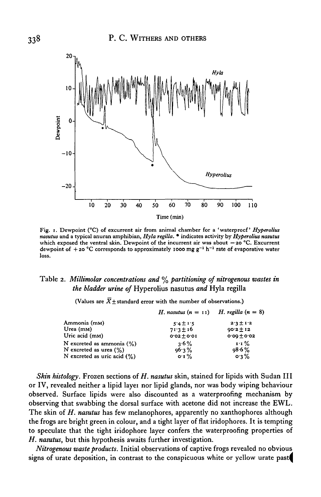

Fig. i. Dewpoint (°C) of excurrent air from animal chamber for a ' waterproof' *Hyperolius nasutus* and a typical anuran amphibian, *Hyla regilla.* • indicates activity by *Hyperolius nasutus* which exposed the ventral skin. Dewpoint of the incurrent air was about  $-20$  °C. Excurrent dewpoint of  $+20$  °C corresponds to approximately 1000 mg g<sup>-1</sup> h<sup>-1</sup> rate of evaporative water loss.

### Table *2. Millimolar concentrations and* % *partitioning of nitrogenous wastes in the bladder urine of* Hyperolius nasutus *and* Hyla regilla

(Values are  $\overline{X}$   $\pm$  standard error with the number of observations.)

|                                | <i>H. nasutus</i> $(n = 11)$ <i>H. regilla</i> $(n = 8)$ |               |  |
|--------------------------------|----------------------------------------------------------|---------------|--|
| Ammonia (mM)                   | $5.4 \pm 1.5$                                            | $2.3 \pm 1.2$ |  |
| Urea $(mM)$                    | $71.3 \pm 16$                                            | $90.2 \pm 12$ |  |
| Uric acid (mm)                 | $0.02 \pm 0.01$                                          | $0.00 + 0.02$ |  |
| N excreted as ammonia $(\%)$   | $3.6\%$                                                  | $1.1\%$       |  |
| N excreted as urea $(\%)$      | 96.3%                                                    | $98.6 \%$     |  |
| N excreted as uric acid $(\%)$ | $\mathbf{O} \cdot \mathbf{I}$ %                          | $0.3\%$       |  |

*Skin histology.* Frozen sections of *H. nasutus* skin, stained for lipids with Sudan III or IV, revealed neither a lipid layei nor lipid glands, nor was body wiping behaviour observed. Surface lipids were also discounted as a waterproofing mechanism by observing that swabbing the dorsal surface with acetone did not increase the EWL. The skin of *H. nasutus* has few melanophores, apparently no xanthophores although the frogs are bright green in colour, and a tight layer of flat iridophores. It is tempting to speculate that the tight iridophore layer confers the waterproofing properties of *H. nasutus,* but this hypothesis awaits further investigation.

*Nitrogenous waste products.* Initial observations of captive frogs revealed no obvious signs of urate deposition, in contrast to the conspicuous white or yellow urate past^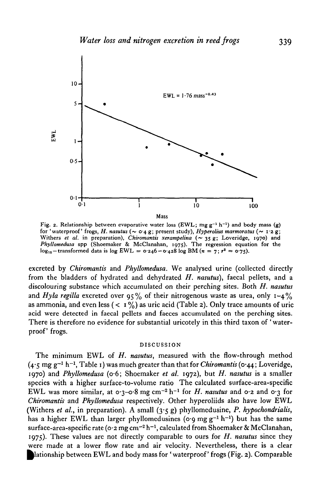

Fig. 2. Relationship between evaporative water loss (EWL; mg  $g^{-1}$  h<sup>-1</sup>) and body mass (g) for 'waterproof' frogs, *H. nasutus* (~ 0.4 g; present study), *Hyperolius marmoratus* (~ 1.2 g; Withers *et al.* in preparation), *Chiromantis xerampelina* (~ 35 g; Loveridge, 1970) and *Phyllomedusa* spp (Shoemaker & McClanahan, 197s). The regression equation for the  $\log_{10}$  - transformed data is  $\log$  EWL = 0.246 - 0.428 log BM ( $n = 7$ ;  $r^2 = 0.75$ ).

excreted by *Chiromantis* and *Phyllomedusa.* We analysed urine (collected directly from the bladders of hydrated and dehydrated *H. nasutus),* faecal pellets, and a discolouring substance which accumulated on their perching sites. Both *H. nasutus* and *Hyla regilla* excreted over  $95\%$  of their nitrogenous waste as urea, only  $1-4\%$ as ammonia, and even less ( $\langle 1 \frac{9}{0} \rangle$  as uric acid (Table 2). Only trace amounts of uric acid were detected in faecal pellets and faeces accumulated on the perching sites. There is therefore no evidence for substantial uricotely in this third taxon of ' waterproof' frogs.

#### DISCUSSION

The minimum EWL of *H. nasutus,* measured with the flow-through method  $(4.5 \text{ mg g}^{-1} \text{ h}^{-1}, \text{Table 1})$  was much greater than that for *Chiromantis* (0.44; Loveridge, 1970) and *Phyllomedusa* (o-6; Shoemaker *et al.* 1972), but *H. nasutus* is a smaller species with a higher surface-to-volume ratio The calculated surface-area-specific EWL was more similar, at  $\sigma$ -3- $\sigma$ -8 mg cm<sup>-2</sup> h<sup>-1</sup> for *H. nasutus* and  $\sigma$ -2 and  $\sigma$ -3 for *Chiromantis* and *Phyllomedusa* respectively. Other hyperoliids also have low EWL (Withers *et al.,* in preparation). A small (3-5 g) phyllomedusine, *P. hypochondrialis,* has a higher EWL than larger phyllomedusines ( $\sigma$  o mg g<sup>-1</sup> h<sup>-1</sup>) but has the same surface-area-specific rate ( $\frac{1}{2}$  mg cm<sup>-2</sup> h<sup>-1</sup>, calculated from Shoemaker & McClanahan, 1975). These values are not directly comparable to ours for *H. nasutus* since they were made at a lower flow rate and air velocity. Nevertheless, there is a clear lationship between EWL and body mass for 'waterproof' frogs (Fig. 2). Comparable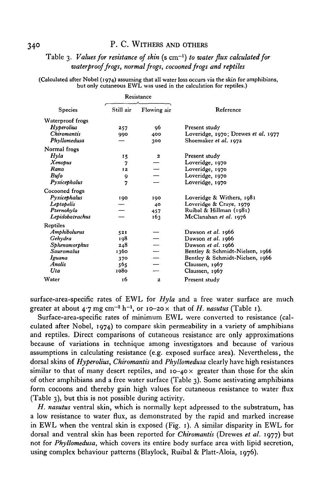# 340 P. C. WITHERS AND OTHERS

# Table 3. *Values for resistance of skin* (s cm"<sup>1</sup> ) *to water flux calculated for waterproof frogs, normal frogs, cocooned frogs and reptiles*

(Calculated after Nobel (1974) assuming that all water loss occurs via the skin for amphibians, but only cutaneous EWL was used in the calculation for reptiles.)

| Resistance |              |                                     |
|------------|--------------|-------------------------------------|
| Still air  | Flowing air  | Reference                           |
|            |              |                                     |
| 257        | 96           | Present study                       |
| 990        | 400          | Loveridge, 1970; Drewes et al. 1977 |
|            | 300          | Shoemaker et al. 1972               |
|            |              |                                     |
| 15         | 2            | Present study                       |
| 7          |              | Loveridge, 1970                     |
| 12         |              | Loveridge, 1970                     |
| 9          |              | Loveridge, 1970                     |
| 7          |              | Loveridge, 1970                     |
|            |              |                                     |
| 190        | 190          | Loveridge & Withers, 1981           |
|            | 40           | Loveridge & Craye, 1979             |
|            | 457          | Ruibal & Hillman (1981)             |
|            | 163          | McClanahan et al. 1976              |
|            |              |                                     |
| 521        |              | Dawson et al. 1966                  |
| 198        |              | Dawson et al. 1966                  |
| 248        |              | Dawson et al. 1966                  |
| 1360       |              | Bentley & Schmidt-Nielsen, 1966     |
| 370        |              | Bentley & Schmidt-Nielsen, 1966     |
| 565        |              | Claussen, 1967                      |
| 1080       |              | Claussen, 1967                      |
| 16         | $\mathbf{z}$ | Present study                       |
|            |              |                                     |

surface-area-specific rates of EWL for *Hyla* and a free water surface are much greater at about  $4.7$  mg cm<sup>-2</sup> h<sup>-1</sup>, or 10-20 x that of *H. nasutus* (Table 1).

Surface-area-specific rates of minimum EWL were converted to resistance (calculated after Nobel, 1974) to compare skin permeability in a variety of amphibians and reptiles. Direct comparisons of cutaneous resistance are only approximations because of variations in technique among investigators and because of various assumptions in calculating resistance (e.g. exposed surface area). Nevertheless, the dorsal skins of *Hyperolius, Chiromantis* and *Phyllomedusa* clearly have high resistances similar to that of many desert reptiles, and  $10-40 \times$  greater than those for the skin of other amphibians and a free water surface (Table 3). Some aestivating amphibians form cocoons and thereby gain high values for cutaneous resistance to water flux (Table 3), but this is not possible during activity.

*H. nasutus* ventral skin, which is normally kept adpressed to the substratum, has a low resistance to water flux, as demonstrated by the rapid and marked increase in EWL when the ventral skin is exposed (Fig. 1). A similar disparity in EWL for dorsal and ventral skin has been reported for *Chiromantis* (Drewes *et al.* 1977) but not for *Phyllomedusa,* which covers its entire body surface area with lipid secretion, using complex behaviour patterns (Blaylock, Ruibal & Platt-Aloia, 1976).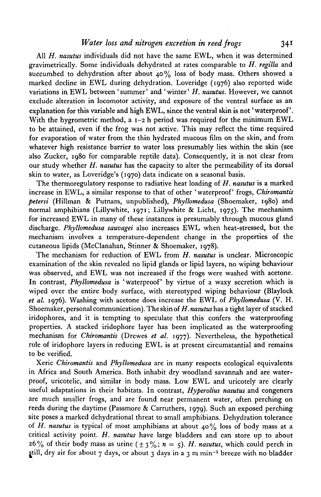#### *Water loss and nitrogen excretion in reed frogs* 341

All *H. nasutus* individuals did not have the same EWL, when it was determined gravimetrically. Some individuals dehydrated at rates comparable to *H. regilla* and succumbed to dehydration after about  $40\%$  loss of body mass. Others showed a marked decline in EWL during dehydration. Loveridge (1976) also reported wide variations in EWL between 'summer' and 'winter' *H. nasutus.* However, we cannot exclude alteration in locomotor activity, and exposure of the ventral surface as an explanation for this variable and high EWL, since the ventral skin is not 'waterproof'. With the hygrometric method, a  $1-2$  h period was required for the minimum EWL to be attained, even if the frog was not active. This may reflect the time required for evaporation of water from the thin hydrated mucous film on the skin, and from whatever high resistance barrier to water loss presumably lies within the skin (see also Zucker, 1980 for comparable reptile data). Consequently, it is not clear from our study whether *H. nasutus* has the capacity to alter the permeability of its dorsal skin to water, as Loveridge's (1970) data indicate on a seasonal basis.

The thermoregulatory response to radiative heat loading of *H. nasutus* is a marked increase in EWL, a similar response to that of other 'waterproof' frogs, *Chiromantis petersi* (Hillman & Putnam, unpublished), *Phyllomedusa* (Shoemaker, 1980) and normal amphibians (Lillywhite, 1971; Lillywhite & Licht, 1975). The mechanism for increased EWL in many of these instances is presumably through mucous gland discharge. *Phyllomedusa sauvagei* also increases EWL when heat-stressed, but the mechanism involves a temperature-dependent change in the properties of the cutaneous lipids (McClanahan, Stinner & Shoemaker, 1978).

The mechanism for reduction of EWL from *H. nasutus* is unclear. Microscopic examination of the skin revealed no lipid glands or lipid layers, no wiping behaviour was observed, and EWL was not increased if the frogs were washed with acetone. In contrast, *Phyllomedusa* is 'waterproof' by virtue of a waxy secretion which is wiped over the entire body surface, with stereotyped wiping behaviour (Blaylock *et al.* 1976). Washing with acetone does increase the EWL of *Phyllomedusa* (V. H. Shoemaker, personal communication). Theskinof *H.nasutushas* a tight layer of stacked iridophores, and it is tempting to speculate that this confers the waterproofing properties. A stacked iridophore layer has been implicated as the waterproofing mechanism for *Chiromantis* (Drewes *et al.* 1977). Nevertheless, the hypothetical role of iridophore layers in reducing EWL is at present circumstantial and remains to be verified.

Xeric *Chiromantis* and *Phyllomedusa* are in many respects ecological equivalents in Africa and South America. Both inhabit dry woodland savannah and are waterproof, uricotelic, and similar in body mass. Low EWL and uricotely are clearly useful adaptations in their habitats. In contrast, *Hyperolius nasutus* and congeners are much smaller frogs, and are found near permanent water, often perching on reeds during the daytime (Passmore & Carruthers, 1979). Such an exposed perching site poses a marked dehydrational threat to small amphibians. Dehydration tolerance of *H. nasutus* is typical of most amphibians at about 40% loss of body mass at a critical activity point. *H. nasutus* have large bladders and can store up to about  $26\%$  of their body mass as urine  $(\pm 3\%; n = 5)$ . *H. nasutus*, which could perch in l, dry air for about 7 days, or about 3 days in a 3 m min<sup>-1</sup> breeze with no bladder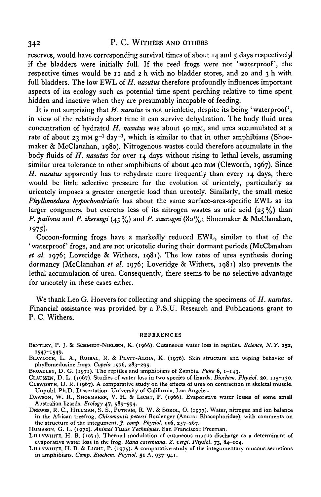# 342 P. C. WITHERS AND OTHERS

reserves, would have corresponding survival times of about  $I_4$  and  $\zeta$  days respectively if the bladders were initially full. If the reed frogs were not 'waterproof', the respective times would be 11 and 2 h with no bladder stores, and 20 and 3 h with full bladders. The low EWL of *H. nasutus* therefore profoundly influences important aspects of its ecology such as potential time spent perching relative to time spent hidden and inactive when they are presumably incapable of feeding.

It is not surprising that *H. nasutus* is not uricoletic, despite its being 'waterproof, in view of the relatively short time it can survive dehydration. The body fluid urea concentration of hydrated *H. nasutus* was about 40 mM, and urea accumulated at a rate of about 23 mm  $g^{-1}$  day<sup>-1</sup>, which is similar to that in other amphibians (Shoemaker & McClanahan, 1980). Nitrogenous wastes could therefore accumulate in the body fluids of *H. nasutus* for over 14 days without rising to lethal levels, assuming similar urea tolerance to other amphibians of about 400 mM (Cleworth, 1967). Since *H. nasutus* apparently has to rehydrate more frequently than every 14 days, there would be little selective pressure for the evolution of uricotely, particularly as uricotely imposes a greater energetic load than ureotely. Similarly, the small mesic *Phyllomedusa hypochondrialis* has about the same surface-area-specific EWL as its larger congeners, but excretes less of its nitrogen wastes as uric acid  $(25\%)$  than *P. pailona* and *P. iherengi* (45%) and *P. sauvagei* (80%; Shoemaker & McClanahan, 1975)- Cocoon-forming frogs have a markedly reduced EWL, similar to that of the

'waterproof' frogs, and are not uricotelic during their dormant periods (McClanahan *et al.* 1976; Loveridge & Withers, 1981). The low rates of urea synthesis during dormancy (McClanahan *et al.* 1976; Loveridge & Withers, 1981) also prevents the lethal accumulation of urea. Consequently, there seems to be no selective advantage for uricotely in these cases either.

We thank Leo G. Hoevers for collecting and shipping the specimens of *H. nasutus.* Financial assistance was provided by a P.S.U. Research and Publications grant to P. C. Withers.

#### REFERENCES

BENTLEV, P. J. & SCHMIDT-NIELSEN, K. (1966). Cutaneous water loss in reptiles. *Science, N.Y.* **151,** "547-1549- BLAYLOCK, L. A., RUIBAL, R. & PLATT-ALOIA, K. (1976). Skin structure and wiping behavior of

phyllomedusine frogs. *Copeia* 1976, 283-295.<br>BROADLEY, D. G. (1971). The reptiles and amphibians of Zambia. *Puka* 6, 1-143.

CLAUSSEN, D. L. (1967). Studies of water loss in two species of lizards. *Biochem. Physiol.* 20, 115-130.<br>CLEWORTH, D. R. (1967). A comparative study on the effects of urea on contraction in skeletal muscle.

Unpubl. Ph.D. Dissertation. University of California, Los Angeles. DAWSON, W. R., SHOEMAKER, V. H. & LICHT, P. (1966). Evaporative water losses of some small Australian lizards. *Ecology* 47, 589-594. DREWES, R. C, HILLMAN, S. S., PUTNAM, R. W. & SOKOL, O. (1977). Water, nitrogen and ion balance

in the African treefrog, Chiromantis petersi Boulenger (Anura: Rhacophoridae), with comments on<br>the structure of the integument. J. comp. Physiol. 116, 257–267.<br>HUMASON, G. L. (1972). Animal Tissue Techniques. San Francisc

evaporative water loss in the frog, *Rana catesbiana. Z. vergl. Physiol.* 73, 84—104. LILLYWHITE, H. B. & LICHT, P. (1975). A comparative study of the integumentary mucous secretions

in amphibians. *Comp. Biochem. Physiol.* **51** A, 937-941.